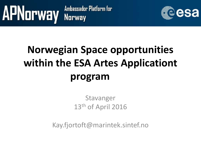

## **Norwegian Space opportunities within the ESA Artes Applicationt program**

Stavanger 13<sup>th</sup> of April 2016

Kay.fjortoft@marintek.sintef.no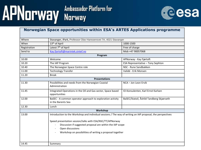# APNorway Ambassador Platform for



#### **Norwegian Space opportunities within ESA's ARTES Applications programme**

| Where        | Stavanger, iPark, Professor Olav Hanssensvei 7A, 4021 Stavanger                                                                                                                                                                                                                                                       |                                          |
|--------------|-----------------------------------------------------------------------------------------------------------------------------------------------------------------------------------------------------------------------------------------------------------------------------------------------------------------------|------------------------------------------|
| When         | 13 <sup>th</sup> of April                                                                                                                                                                                                                                                                                             | 1000-1500                                |
| Registration | Latest 7 <sup>th</sup> of April                                                                                                                                                                                                                                                                                       | Free of charge                           |
| Send to      | Kay.fjortoft@marintek.sintef.no                                                                                                                                                                                                                                                                                       | Mob +47 90057068                         |
|              | Program                                                                                                                                                                                                                                                                                                               |                                          |
| 10.00        | Welcome                                                                                                                                                                                                                                                                                                               | APNorway - Kay Fjørtoft                  |
| 10.20        | The IAP Program                                                                                                                                                                                                                                                                                                       | ESA Representative - Tony Sephton        |
| 10.40        | The Norwegian Space Centre role                                                                                                                                                                                                                                                                                       | NSC - Rune Sandbakken                    |
| 11.00        | <b>Technology Transfer</b>                                                                                                                                                                                                                                                                                            | Validé - Erik Monsen                     |
| 11.20        | <b>Break</b>                                                                                                                                                                                                                                                                                                          |                                          |
|              | <b>Presentations</b>                                                                                                                                                                                                                                                                                                  |                                          |
| 11.30        | Possibilities and needs from the Norwegian Coastal<br>Administration                                                                                                                                                                                                                                                  | NCA - Jon Leon Ervik                     |
| 11.45        | Integrated Operations in the Oil and Gas sector, Space based<br>opportunities                                                                                                                                                                                                                                         | IO-Konsulenten, Karl Ernst Karlsen       |
| 12.00        | BaSEC - A common operator approach to exploration activity<br>in the Barents Sea                                                                                                                                                                                                                                      | BaSEC/Statoil, Åshild Tandberg Skjærseth |
| 12.30        | Lunch                                                                                                                                                                                                                                                                                                                 |                                          |
|              | Workshop                                                                                                                                                                                                                                                                                                              |                                          |
| 13.00        | Introduction to the Workshop and individual sessions / The way of writing an IAP proposal, the perspectives<br>Speed presentation session/talks with ESA/NSC/TT/APNorway<br>Discussion if suggested proposal are within the IAP scope<br>Open discussions<br>Workshop on possibilities of writing a proposal together |                                          |
| 14.45        | Summary                                                                                                                                                                                                                                                                                                               |                                          |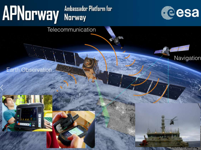# APNorway Ambassador Platform for



Navigation

Telecommunication

Earth Observation



Ref: APSwiss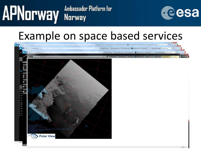

### Example on space based services

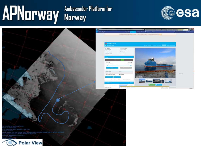### **APNorway** Norway Ambassador Platform for





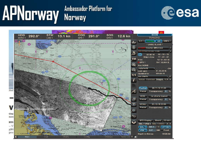

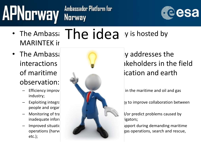

**MARINTEK in** 

# • The Ambass:  $The  $idea$  is hosted by$

- observation:
	- industry;
	- people and orgar
	-
	- etc.);



interactions **between relevant states in the field** 

Efficiency improvements of the transport and oil and gas in the maritime and oil and gas

Exploiting integration potentials in the utilization potential technology to improve collaboration between

 $\blacksquare$  Monitoring of transport in Frastructure to identify and  $\blacksquare$  if  $\blacksquare$  if  $\blacksquare$  if  $\blacksquare$  if  $\blacksquare$  if  $\blacksquare$  if  $\blacksquare$  if  $\blacksquare$  if  $\blacksquare$  if  $\blacksquare$  if  $\blacksquare$  if  $\blacksquare$  if  $\blacksquare$  if  $\blacksquare$  if  $\blacksquare$  if  $\blacksquare$  i

Improved situational and awareness providence in a support during demanding maritime operations (harvesting, search and rescue, search and rescue,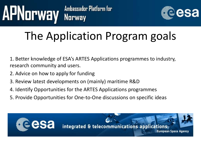

## The Application Program goals

1. Better knowledge of ESA's ARTES Applications programmes to industry, research community and users.

- 2. Advice on how to apply for funding
- 3. Review latest developments on (mainly) maritime R&D
- 4. Identify Opportunities for the ARTES Applications programmes
- 5. Provide Opportunities for One-to-One discussions on specific ideas

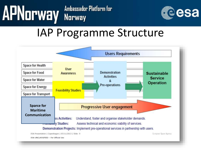

### IAP Programme Structure